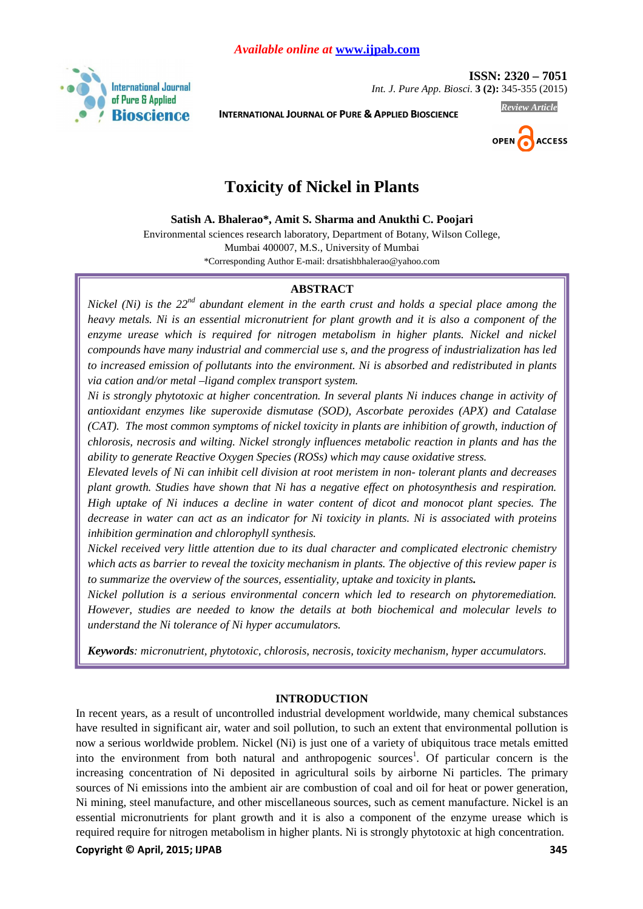

 **ISSN: 2320 – 7051**  *Int. J. Pure App. Biosci.* **3 (2):** 345-355 (2015)

**INTERNATIONAL JOURNAL OF PURE & APPLIED BIOSCIENCE**



*Review Article* 

# **Toxicity of Nickel in Plants**

**Satish A. Bhalerao\*, Amit S. Sharma and Anukthi C. Poojari** 

Environmental sciences research laboratory, Department of Botany, Wilson College, Mumbai 400007, M.S., University of Mumbai \*Corresponding Author E-mail: drsatishbhalerao@yahoo.com

# **ABSTRACT**

*Nickel (Ni) is the 22nd abundant element in the earth crust and holds a special place among the heavy metals. Ni is an essential micronutrient for plant growth and it is also a component of the*  enzyme urease which is required for nitrogen metabolism in higher plants. Nickel and nickel *compounds have many industrial and commercial use s, and the progress of industrialization has led to increased emission of pollutants into the environment. Ni is absorbed and redistributed in plants via cation and/or metal –ligand complex transport system.* 

*Ni is strongly phytotoxic at higher concentration. In several plants Ni induces change in activity of antioxidant enzymes like superoxide dismutase (SOD), Ascorbate peroxides (APX) and Catalase (CAT). The most common symptoms of nickel toxicity in plants are inhibition of growth, induction of chlorosis, necrosis and wilting. Nickel strongly influences metabolic reaction in plants and has the ability to generate Reactive Oxygen Species (ROSs) which may cause oxidative stress.* 

*Elevated levels of Ni can inhibit cell division at root meristem in non- tolerant plants and decreases plant growth. Studies have shown that Ni has a negative effect on photosynthesis and respiration. High uptake of Ni induces a decline in water content of dicot and monocot plant species. The decrease in water can act as an indicator for Ni toxicity in plants. Ni is associated with proteins inhibition germination and chlorophyll synthesis.* 

*Nickel received very little attention due to its dual character and complicated electronic chemistry which acts as barrier to reveal the toxicity mechanism in plants. The objective of this review paper is to summarize the overview of the sources, essentiality, uptake and toxicity in plants.*

*Nickel pollution is a serious environmental concern which led to research on phytoremediation. However, studies are needed to know the details at both biochemical and molecular levels to understand the Ni tolerance of Ni hyper accumulators.* 

*Keywords: micronutrient, phytotoxic, chlorosis, necrosis, toxicity mechanism, hyper accumulators.* 

# **INTRODUCTION**

In recent years, as a result of uncontrolled industrial development worldwide, many chemical substances have resulted in significant air, water and soil pollution, to such an extent that environmental pollution is now a serious worldwide problem. Nickel (Ni) is just one of a variety of ubiquitous trace metals emitted into the environment from both natural and anthropogenic sources<sup>1</sup>. Of particular concern is the increasing concentration of Ni deposited in agricultural soils by airborne Ni particles. The primary sources of Ni emissions into the ambient air are combustion of coal and oil for heat or power generation, Ni mining, steel manufacture, and other miscellaneous sources, such as cement manufacture. Nickel is an essential micronutrients for plant growth and it is also a component of the enzyme urease which is required require for nitrogen metabolism in higher plants. Ni is strongly phytotoxic at high concentration.

# **Copyright © April, 2015; IJPAB 345 and 2016 and 2017 and 2018 345 and 345 and 345 and 345 and 345 and 345 and 345 and 345 and 345 and 345 and 345 and 345 and 345 and 345 and 345 and 345 and 345 and 345 and 345 and 345 and**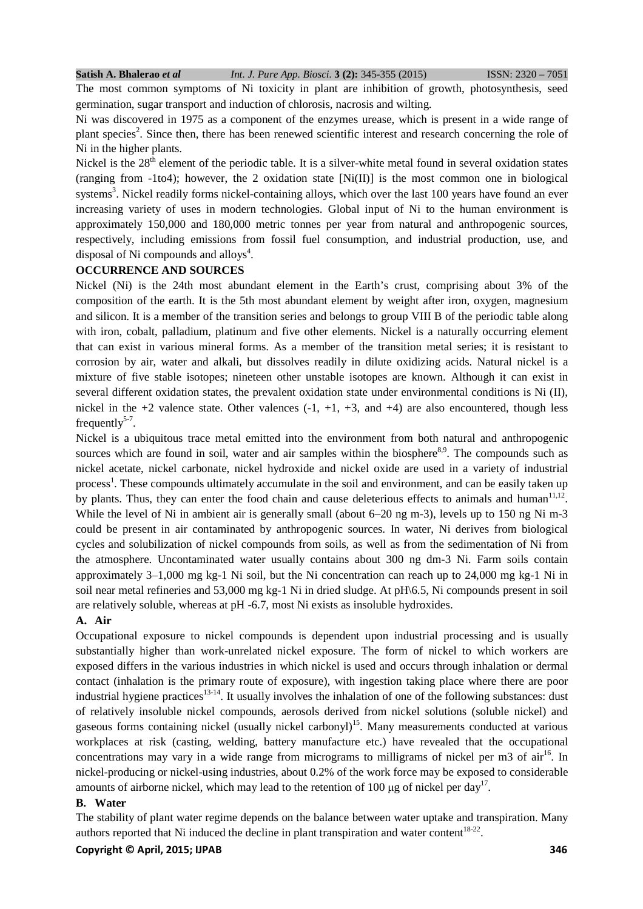The most common symptoms of Ni toxicity in plant are inhibition of growth, photosynthesis, seed germination, sugar transport and induction of chlorosis, nacrosis and wilting.

Ni was discovered in 1975 as a component of the enzymes urease, which is present in a wide range of plant species<sup>2</sup>. Since then, there has been renewed scientific interest and research concerning the role of Ni in the higher plants.

Nickel is the  $28<sup>th</sup>$  element of the periodic table. It is a silver-white metal found in several oxidation states (ranging from  $-1$ to4); however, the 2 oxidation state [Ni(II)] is the most common one in biological systems<sup>3</sup>. Nickel readily forms nickel-containing alloys, which over the last 100 years have found an ever increasing variety of uses in modern technologies. Global input of Ni to the human environment is approximately 150,000 and 180,000 metric tonnes per year from natural and anthropogenic sources, respectively, including emissions from fossil fuel consumption, and industrial production, use, and disposal of Ni compounds and alloys<sup>4</sup>.

# **OCCURRENCE AND SOURCES**

Nickel (Ni) is the 24th most abundant element in the Earth's crust, comprising about 3% of the composition of the earth. It is the 5th most abundant element by weight after iron, oxygen, magnesium and silicon. It is a member of the transition series and belongs to group VIII B of the periodic table along with iron, cobalt, palladium, platinum and five other elements. Nickel is a naturally occurring element that can exist in various mineral forms. As a member of the transition metal series; it is resistant to corrosion by air, water and alkali, but dissolves readily in dilute oxidizing acids. Natural nickel is a mixture of five stable isotopes; nineteen other unstable isotopes are known. Although it can exist in several different oxidation states, the prevalent oxidation state under environmental conditions is Ni (II), nickel in the  $+2$  valence state. Other valences  $(-1, +1, +3,$  and  $+4)$  are also encountered, though less frequently $5-7$ .

Nickel is a ubiquitous trace metal emitted into the environment from both natural and anthropogenic sources which are found in soil, water and air samples within the biosphere<sup>8,9</sup>. The compounds such as nickel acetate, nickel carbonate, nickel hydroxide and nickel oxide are used in a variety of industrial process<sup>1</sup>. These compounds ultimately accumulate in the soil and environment, and can be easily taken up by plants. Thus, they can enter the food chain and cause deleterious effects to animals and human $11,12$ . While the level of Ni in ambient air is generally small (about 6–20 ng m-3), levels up to 150 ng Ni m-3 could be present in air contaminated by anthropogenic sources. In water, Ni derives from biological cycles and solubilization of nickel compounds from soils, as well as from the sedimentation of Ni from the atmosphere. Uncontaminated water usually contains about 300 ng dm-3 Ni. Farm soils contain approximately 3–1,000 mg kg-1 Ni soil, but the Ni concentration can reach up to 24,000 mg kg-1 Ni in soil near metal refineries and 53,000 mg kg-1 Ni in dried sludge. At pH\6.5, Ni compounds present in soil are relatively soluble, whereas at pH -6.7, most Ni exists as insoluble hydroxides.

# **A. Air**

Occupational exposure to nickel compounds is dependent upon industrial processing and is usually substantially higher than work-unrelated nickel exposure. The form of nickel to which workers are exposed differs in the various industries in which nickel is used and occurs through inhalation or dermal contact (inhalation is the primary route of exposure), with ingestion taking place where there are poor industrial hygiene practices<sup>13-14</sup>. It usually involves the inhalation of one of the following substances: dust of relatively insoluble nickel compounds, aerosols derived from nickel solutions (soluble nickel) and gaseous forms containing nickel (usually nickel carbonyl)<sup>15</sup>. Many measurements conducted at various workplaces at risk (casting, welding, battery manufacture etc.) have revealed that the occupational concentrations may vary in a wide range from micrograms to milligrams of nickel per m3 of  $air<sup>16</sup>$ . In nickel-producing or nickel-using industries, about 0.2% of the work force may be exposed to considerable amounts of airborne nickel, which may lead to the retention of 100  $\mu$ g of nickel per day<sup>17</sup>.

# **B. Water**

The stability of plant water regime depends on the balance between water uptake and transpiration. Many authors reported that Ni induced the decline in plant transpiration and water content<sup>18-22</sup>.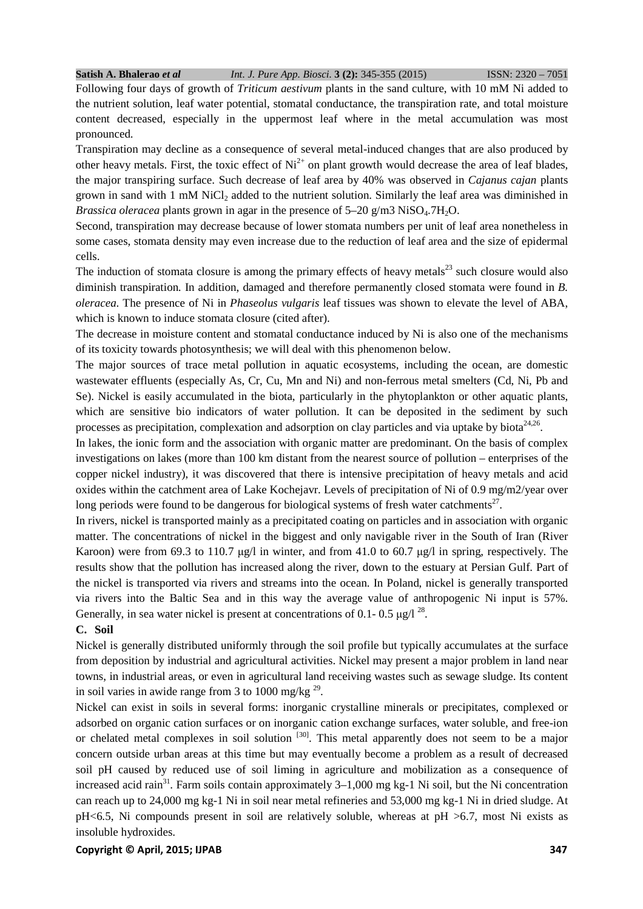Following four days of growth of *Triticum aestivum* plants in the sand culture, with 10 mM Ni added to the nutrient solution, leaf water potential, stomatal conductance, the transpiration rate, and total moisture content decreased, especially in the uppermost leaf where in the metal accumulation was most pronounced.

Transpiration may decline as a consequence of several metal-induced changes that are also produced by other heavy metals. First, the toxic effect of  $Ni^{2+}$  on plant growth would decrease the area of leaf blades, the major transpiring surface. Such decrease of leaf area by 40% was observed in *Cajanus cajan* plants grown in sand with 1 mM NiCl<sub>2</sub> added to the nutrient solution. Similarly the leaf area was diminished in *Brassica oleracea* plants grown in agar in the presence of  $5-20$  g/m3 NiSO<sub>4</sub>.7H<sub>2</sub>O.

Second, transpiration may decrease because of lower stomata numbers per unit of leaf area nonetheless in some cases, stomata density may even increase due to the reduction of leaf area and the size of epidermal cells.

The induction of stomata closure is among the primary effects of heavy metals $^{23}$  such closure would also diminish transpiration. In addition, damaged and therefore permanently closed stomata were found in *B*. *oleracea*. The presence of Ni in *Phaseolus vulgaris* leaf tissues was shown to elevate the level of ABA, which is known to induce stomata closure (cited after).

The decrease in moisture content and stomatal conductance induced by Ni is also one of the mechanisms of its toxicity towards photosynthesis; we will deal with this phenomenon below.

The major sources of trace metal pollution in aquatic ecosystems, including the ocean, are domestic wastewater effluents (especially As, Cr, Cu, Mn and Ni) and non-ferrous metal smelters (Cd, Ni, Pb and Se). Nickel is easily accumulated in the biota, particularly in the phytoplankton or other aquatic plants, which are sensitive bio indicators of water pollution. It can be deposited in the sediment by such processes as precipitation, complexation and adsorption on clay particles and via uptake by biota<sup>24,26</sup>.

In lakes, the ionic form and the association with organic matter are predominant. On the basis of complex investigations on lakes (more than 100 km distant from the nearest source of pollution – enterprises of the copper nickel industry), it was discovered that there is intensive precipitation of heavy metals and acid oxides within the catchment area of Lake Kochejavr. Levels of precipitation of Ni of 0.9 mg/m2/year over long periods were found to be dangerous for biological systems of fresh water catchments<sup>27</sup>.

In rivers, nickel is transported mainly as a precipitated coating on particles and in association with organic matter. The concentrations of nickel in the biggest and only navigable river in the South of Iran (River Karoon) were from 69.3 to 110.7  $\mu$ g/l in winter, and from 41.0 to 60.7  $\mu$ g/l in spring, respectively. The results show that the pollution has increased along the river, down to the estuary at Persian Gulf. Part of the nickel is transported via rivers and streams into the ocean. In Poland, nickel is generally transported via rivers into the Baltic Sea and in this way the average value of anthropogenic Ni input is 57%. Generally, in sea water nickel is present at concentrations of 0.1- 0.5  $\mu$ g/l<sup>28</sup>.

# **C. Soil**

Nickel is generally distributed uniformly through the soil profile but typically accumulates at the surface from deposition by industrial and agricultural activities. Nickel may present a major problem in land near towns, in industrial areas, or even in agricultural land receiving wastes such as sewage sludge. Its content in soil varies in awide range from 3 to 1000 mg/kg  $29$ .

Nickel can exist in soils in several forms: inorganic crystalline minerals or precipitates, complexed or adsorbed on organic cation surfaces or on inorganic cation exchange surfaces, water soluble, and free-ion or chelated metal complexes in soil solution <sup>[30]</sup>. This metal apparently does not seem to be a major concern outside urban areas at this time but may eventually become a problem as a result of decreased soil pH caused by reduced use of soil liming in agriculture and mobilization as a consequence of increased acid rain<sup>31</sup>. Farm soils contain approximately  $3-1,000$  mg kg-1 Ni soil, but the Ni concentration can reach up to 24,000 mg kg-1 Ni in soil near metal refineries and 53,000 mg kg-1 Ni in dried sludge. At pH<6.5, Ni compounds present in soil are relatively soluble, whereas at pH >6.7, most Ni exists as insoluble hydroxides.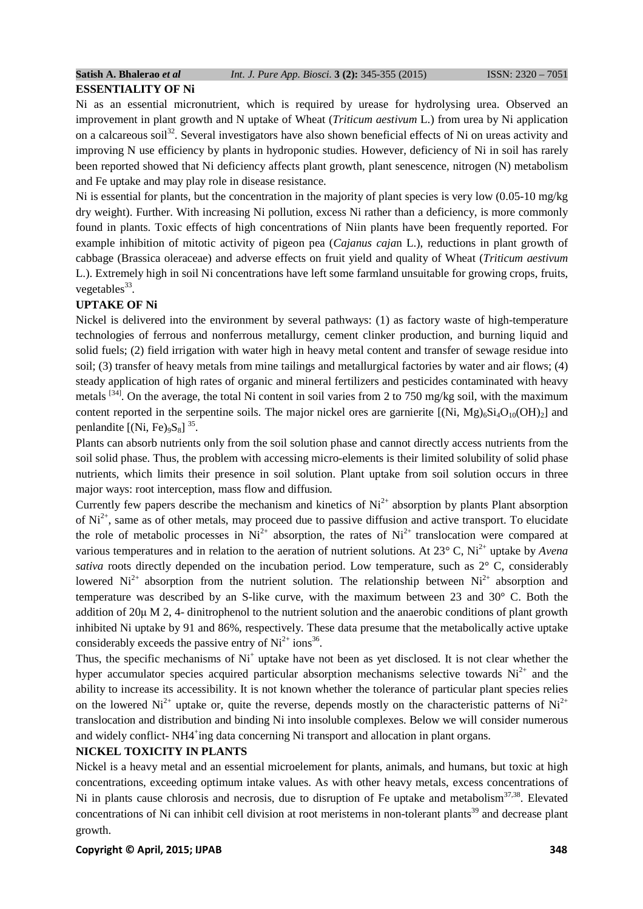# **ESSENTIALITY OF Ni**

Ni as an essential micronutrient, which is required by urease for hydrolysing urea. Observed an improvement in plant growth and N uptake of Wheat (*Triticum aestivum* L.) from urea by Ni application on a calcareous soil<sup>32</sup>. Several investigators have also shown beneficial effects of Ni on ureas activity and improving N use efficiency by plants in hydroponic studies. However, deficiency of Ni in soil has rarely been reported showed that Ni deficiency affects plant growth, plant senescence, nitrogen (N) metabolism and Fe uptake and may play role in disease resistance.

Ni is essential for plants, but the concentration in the majority of plant species is very low (0.05-10 mg/kg dry weight). Further. With increasing Ni pollution, excess Ni rather than a deficiency, is more commonly found in plants. Toxic effects of high concentrations of Niin plants have been frequently reported. For example inhibition of mitotic activity of pigeon pea (*Cajanus caja*n L.), reductions in plant growth of cabbage (Brassica oleraceae) and adverse effects on fruit yield and quality of Wheat (*Triticum aestivum* L.). Extremely high in soil Ni concentrations have left some farmland unsuitable for growing crops, fruits, vegetables<sup>33</sup>.

# **UPTAKE OF Ni**

Nickel is delivered into the environment by several pathways: (1) as factory waste of high-temperature technologies of ferrous and nonferrous metallurgy, cement clinker production, and burning liquid and solid fuels; (2) field irrigation with water high in heavy metal content and transfer of sewage residue into soil; (3) transfer of heavy metals from mine tailings and metallurgical factories by water and air flows; (4) steady application of high rates of organic and mineral fertilizers and pesticides contaminated with heavy metals <sup>[34]</sup>. On the average, the total Ni content in soil varies from 2 to 750 mg/kg soil, with the maximum content reported in the serpentine soils. The major nickel ores are garnierite  $[(Ni, Mg)_6Si_4O_{10}(OH)_2]$  and penlandite  $[(Ni, Fe)_9S_8]$ <sup>35</sup>.

Plants can absorb nutrients only from the soil solution phase and cannot directly access nutrients from the soil solid phase. Thus, the problem with accessing micro-elements is their limited solubility of solid phase nutrients, which limits their presence in soil solution. Plant uptake from soil solution occurs in three major ways: root interception, mass flow and diffusion.

Currently few papers describe the mechanism and kinetics of  $Ni<sup>2+</sup>$  absorption by plants Plant absorption of  $Ni<sup>2+</sup>$ , same as of other metals, may proceed due to passive diffusion and active transport. To elucidate the role of metabolic processes in  $Ni^{2+}$  absorption, the rates of  $Ni^{2+}$  translocation were compared at various temperatures and in relation to the aeration of nutrient solutions. At 23° C, Ni2+ uptake by *Avena sativa* roots directly depended on the incubation period. Low temperature, such as 2° C, considerably lowered  $Ni^{2+}$  absorption from the nutrient solution. The relationship between  $Ni^{2+}$  absorption and temperature was described by an S-like curve, with the maximum between 23 and 30° C. Both the addition of 20µ M 2, 4- dinitrophenol to the nutrient solution and the anaerobic conditions of plant growth inhibited Ni uptake by 91 and 86%, respectively. These data presume that the metabolically active uptake considerably exceeds the passive entry of  $Ni^{2+}$  ions<sup>36</sup>.

Thus, the specific mechanisms of  $Ni<sup>+</sup>$  uptake have not been as yet disclosed. It is not clear whether the hyper accumulator species acquired particular absorption mechanisms selective towards  $Ni<sup>2+</sup>$  and the ability to increase its accessibility. It is not known whether the tolerance of particular plant species relies on the lowered  $Ni^{2+}$  uptake or, quite the reverse, depends mostly on the characteristic patterns of  $Ni^{2+}$ translocation and distribution and binding Ni into insoluble complexes. Below we will consider numerous and widely conflict- NH4<sup>+</sup>ing data concerning Ni transport and allocation in plant organs.

# **NICKEL TOXICITY IN PLANTS**

Nickel is a heavy metal and an essential microelement for plants, animals, and humans, but toxic at high concentrations, exceeding optimum intake values. As with other heavy metals, excess concentrations of Ni in plants cause chlorosis and necrosis, due to disruption of Fe uptake and metabolism<sup>37,38</sup>. Elevated concentrations of Ni can inhibit cell division at root meristems in non-tolerant plants<sup>39</sup> and decrease plant growth.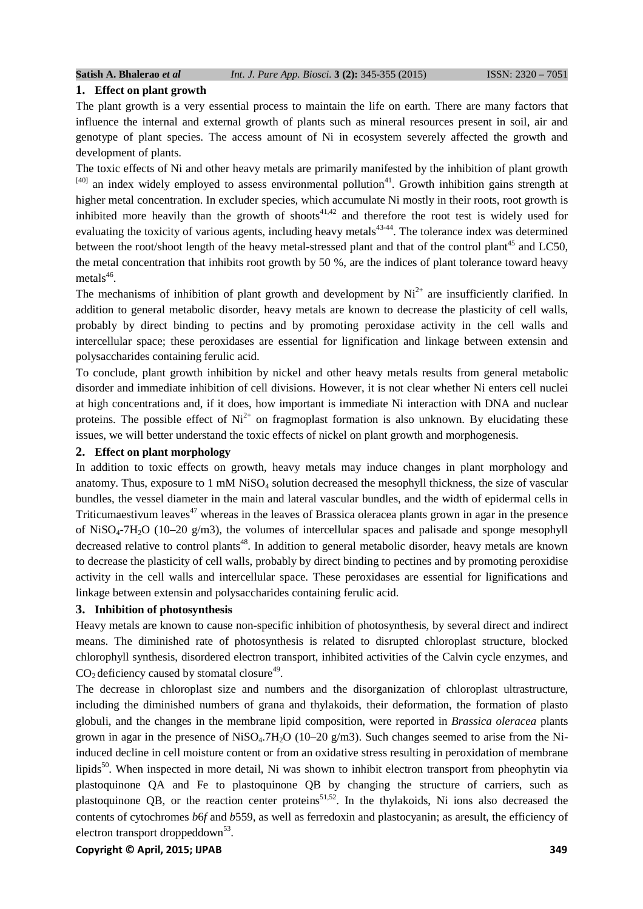#### **1. Effect on plant growth**

The plant growth is a very essential process to maintain the life on earth. There are many factors that influence the internal and external growth of plants such as mineral resources present in soil, air and genotype of plant species. The access amount of Ni in ecosystem severely affected the growth and development of plants.

The toxic effects of Ni and other heavy metals are primarily manifested by the inhibition of plant growth  $[40]$  an index widely employed to assess environmental pollution<sup>41</sup>. Growth inhibition gains strength at higher metal concentration. In excluder species, which accumulate Ni mostly in their roots, root growth is inhibited more heavily than the growth of shoots<sup> $41,42$ </sup> and therefore the root test is widely used for evaluating the toxicity of various agents, including heavy metals<sup>43-44</sup>. The tolerance index was determined between the root/shoot length of the heavy metal-stressed plant and that of the control plant<sup>45</sup> and LC50, the metal concentration that inhibits root growth by 50 %, are the indices of plant tolerance toward heavy metals $46$ .

The mechanisms of inhibition of plant growth and development by  $Ni<sup>2+</sup>$  are insufficiently clarified. In addition to general metabolic disorder, heavy metals are known to decrease the plasticity of cell walls, probably by direct binding to pectins and by promoting peroxidase activity in the cell walls and intercellular space; these peroxidases are essential for lignification and linkage between extensin and polysaccharides containing ferulic acid.

To conclude, plant growth inhibition by nickel and other heavy metals results from general metabolic disorder and immediate inhibition of cell divisions. However, it is not clear whether Ni enters cell nuclei at high concentrations and, if it does, how important is immediate Ni interaction with DNA and nuclear proteins. The possible effect of  $Ni^{2+}$  on fragmoplast formation is also unknown. By elucidating these issues, we will better understand the toxic effects of nickel on plant growth and morphogenesis.

### **2. Effect on plant morphology**

In addition to toxic effects on growth, heavy metals may induce changes in plant morphology and anatomy. Thus, exposure to 1 mM NiSO<sub>4</sub> solution decreased the mesophyll thickness, the size of vascular bundles, the vessel diameter in the main and lateral vascular bundles, and the width of epidermal cells in Triticumaestivum leaves<sup> $47$ </sup> whereas in the leaves of Brassica oleracea plants grown in agar in the presence of NiSO<sub>4</sub>-7H<sub>2</sub>O (10–20 g/m3), the volumes of intercellular spaces and palisade and sponge mesophyll decreased relative to control plants<sup>48</sup>. In addition to general metabolic disorder, heavy metals are known to decrease the plasticity of cell walls, probably by direct binding to pectines and by promoting peroxidise activity in the cell walls and intercellular space. These peroxidases are essential for lignifications and linkage between extensin and polysaccharides containing ferulic acid.

# **3. Inhibition of photosynthesis**

Heavy metals are known to cause non-specific inhibition of photosynthesis, by several direct and indirect means. The diminished rate of photosynthesis is related to disrupted chloroplast structure, blocked chlorophyll synthesis, disordered electron transport, inhibited activities of the Calvin cycle enzymes, and  $CO<sub>2</sub>$  deficiency caused by stomatal closure<sup>49</sup>.

The decrease in chloroplast size and numbers and the disorganization of chloroplast ultrastructure, including the diminished numbers of grana and thylakoids, their deformation, the formation of plasto globuli, and the changes in the membrane lipid composition, were reported in *Brassica oleracea* plants grown in agar in the presence of  $NiSO<sub>4</sub>$ .7H<sub>2</sub>O (10–20 g/m3). Such changes seemed to arise from the Niinduced decline in cell moisture content or from an oxidative stress resulting in peroxidation of membrane lipids<sup>50</sup>. When inspected in more detail, Ni was shown to inhibit electron transport from pheophytin via plastoquinone QA and Fe to plastoquinone QB by changing the structure of carriers, such as plastoquinone QB, or the reaction center proteins<sup>51,52</sup>. In the thylakoids, Ni ions also decreased the contents of cytochromes *b*6*f* and *b*559, as well as ferredoxin and plastocyanin; as aresult, the efficiency of electron transport droppeddown<sup>53</sup>.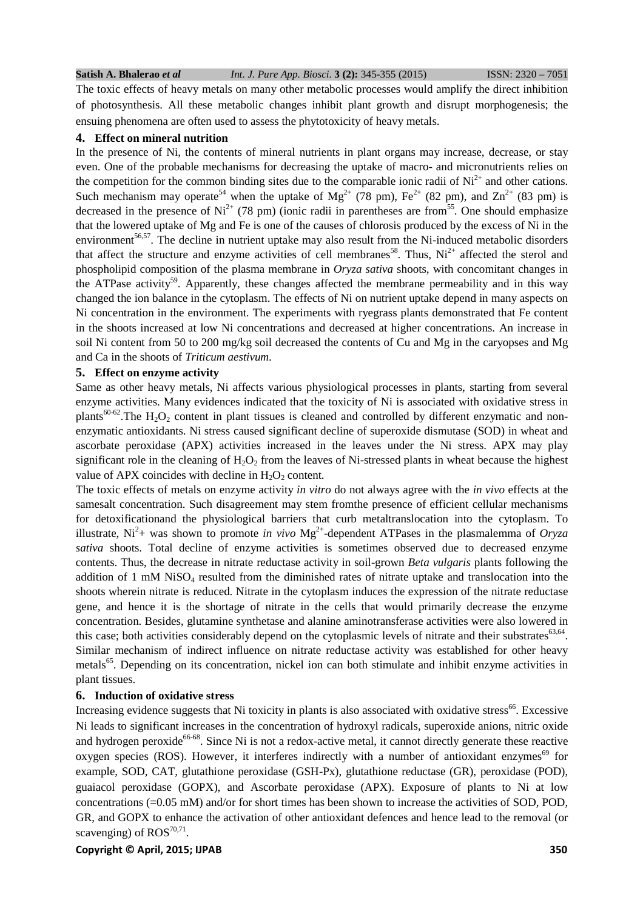The toxic effects of heavy metals on many other metabolic processes would amplify the direct inhibition of photosynthesis. All these metabolic changes inhibit plant growth and disrupt morphogenesis; the ensuing phenomena are often used to assess the phytotoxicity of heavy metals.

#### **4. Effect on mineral nutrition**

In the presence of Ni, the contents of mineral nutrients in plant organs may increase, decrease, or stay even. One of the probable mechanisms for decreasing the uptake of macro- and micronutrients relies on the competition for the common binding sites due to the comparable ionic radii of  $Ni<sup>2+</sup>$  and other cations. Such mechanism may operate<sup>54</sup> when the uptake of Mg<sup>2+</sup> (78 pm), Fe<sup>2+</sup> (82 pm), and Zn<sup>2+</sup> (83 pm) is decreased in the presence of  $Ni^{2+}$  (78 pm) (ionic radii in parentheses are from <sup>55</sup>. One should emphasize that the lowered uptake of Mg and Fe is one of the causes of chlorosis produced by the excess of Ni in the environment<sup>56,57</sup>. The decline in nutrient uptake may also result from the Ni-induced metabolic disorders that affect the structure and enzyme activities of cell membranes<sup>58</sup>. Thus,  $Ni<sup>2+</sup>$  affected the sterol and phospholipid composition of the plasma membrane in *Oryza sativa* shoots, with concomitant changes in the ATPase activity<sup>59</sup>. Apparently, these changes affected the membrane permeability and in this way changed the ion balance in the cytoplasm. The effects of Ni on nutrient uptake depend in many aspects on Ni concentration in the environment. The experiments with ryegrass plants demonstrated that Fe content in the shoots increased at low Ni concentrations and decreased at higher concentrations. An increase in soil Ni content from 50 to 200 mg/kg soil decreased the contents of Cu and Mg in the caryopses and Mg and Ca in the shoots of *Triticum aestivum*.

# **5. Effect on enzyme activity**

Same as other heavy metals, Ni affects various physiological processes in plants, starting from several enzyme activities. Many evidences indicated that the toxicity of Ni is associated with oxidative stress in plants<sup>60-62</sup>. The H<sub>2</sub>O<sub>2</sub> content in plant tissues is cleaned and controlled by different enzymatic and nonenzymatic antioxidants. Ni stress caused significant decline of superoxide dismutase (SOD) in wheat and ascorbate peroxidase (APX) activities increased in the leaves under the Ni stress. APX may play significant role in the cleaning of  $H_2O_2$  from the leaves of Ni-stressed plants in wheat because the highest value of APX coincides with decline in  $H_2O_2$  content.

The toxic effects of metals on enzyme activity *in vitro* do not always agree with the *in vivo* effects at the samesalt concentration. Such disagreement may stem fromthe presence of efficient cellular mechanisms for detoxificationand the physiological barriers that curb metaltranslocation into the cytoplasm. To illustrate,  $Ni^2$ + was shown to promote *in vivo*  $Mg^{2+}$ -dependent ATPases in the plasmalemma of *Oryza sativa* shoots. Total decline of enzyme activities is sometimes observed due to decreased enzyme contents. Thus, the decrease in nitrate reductase activity in soil-grown *Beta vulgaris* plants following the addition of 1 mM  $Niso<sub>4</sub>$  resulted from the diminished rates of nitrate uptake and translocation into the shoots wherein nitrate is reduced. Nitrate in the cytoplasm induces the expression of the nitrate reductase gene, and hence it is the shortage of nitrate in the cells that would primarily decrease the enzyme concentration. Besides, glutamine synthetase and alanine aminotransferase activities were also lowered in this case; both activities considerably depend on the cytoplasmic levels of nitrate and their substrates $63,64$ . Similar mechanism of indirect influence on nitrate reductase activity was established for other heavy metals<sup>65</sup>. Depending on its concentration, nickel ion can both stimulate and inhibit enzyme activities in plant tissues.

### **6. Induction of oxidative stress**

Increasing evidence suggests that Ni toxicity in plants is also associated with oxidative stress<sup>66</sup>. Excessive Ni leads to significant increases in the concentration of hydroxyl radicals, superoxide anions, nitric oxide and hydrogen peroxide<sup>66-68</sup>. Since Ni is not a redox-active metal, it cannot directly generate these reactive oxygen species (ROS). However, it interferes indirectly with a number of antioxidant enzymes<sup>69</sup> for example, SOD, CAT, glutathione peroxidase (GSH-Px), glutathione reductase (GR), peroxidase (POD), guaiacol peroxidase (GOPX), and Ascorbate peroxidase (APX). Exposure of plants to Ni at low concentrations (=0.05 mM) and/or for short times has been shown to increase the activities of SOD, POD, GR, and GOPX to enhance the activation of other antioxidant defences and hence lead to the removal (or scavenging) of  $ROS^{70,71}$ .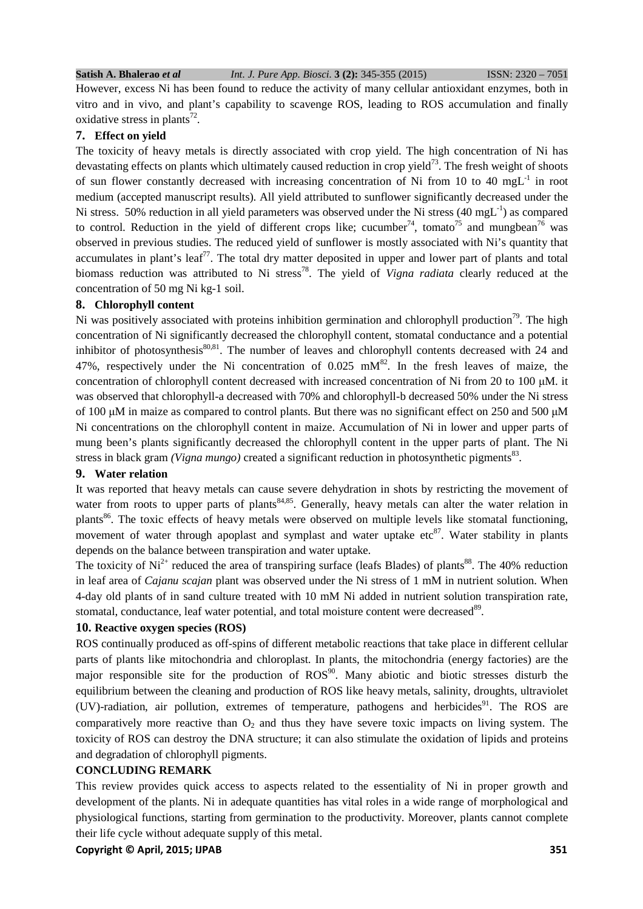However, excess Ni has been found to reduce the activity of many cellular antioxidant enzymes, both in vitro and in vivo, and plant's capability to scavenge ROS, leading to ROS accumulation and finally oxidative stress in plants<sup>72</sup>.

# **7. Effect on yield**

The toxicity of heavy metals is directly associated with crop yield. The high concentration of Ni has devastating effects on plants which ultimately caused reduction in crop yield<sup>73</sup>. The fresh weight of shoots of sun flower constantly decreased with increasing concentration of Ni from 10 to 40 mg $L^{-1}$  in root medium (accepted manuscript results). All yield attributed to sunflower significantly decreased under the Ni stress. 50% reduction in all yield parameters was observed under the Ni stress (40 mgL<sup>-1</sup>) as compared to control. Reduction in the yield of different crops like; cucumber<sup>74</sup>, tomato<sup>75</sup> and mungbean<sup>76</sup> was observed in previous studies. The reduced yield of sunflower is mostly associated with Ni's quantity that accumulates in plant's leaf<sup>77</sup>. The total dry matter deposited in upper and lower part of plants and total biomass reduction was attributed to Ni stress<sup>78</sup>. The yield of *Vigna radiata* clearly reduced at the concentration of 50 mg Ni kg-1 soil.

## **8. Chlorophyll content**

Ni was positively associated with proteins inhibition germination and chlorophyll production<sup>79</sup>. The high concentration of Ni significantly decreased the chlorophyll content, stomatal conductance and a potential inhibitor of photosynthesis $80,81$ . The number of leaves and chlorophyll contents decreased with 24 and 47%, respectively under the Ni concentration of  $0.025$  mM<sup>82</sup>. In the fresh leaves of maize, the concentration of chlorophyll content decreased with increased concentration of Ni from 20 to 100 µM. it was observed that chlorophyll-a decreased with 70% and chlorophyll-b decreased 50% under the Ni stress of 100 µM in maize as compared to control plants. But there was no significant effect on 250 and 500 µM Ni concentrations on the chlorophyll content in maize. Accumulation of Ni in lower and upper parts of mung been's plants significantly decreased the chlorophyll content in the upper parts of plant. The Ni stress in black gram *(Vigna mungo)* created a significant reduction in photosynthetic pigments<sup>83</sup>.

# **9. Water relation**

It was reported that heavy metals can cause severe dehydration in shots by restricting the movement of water from roots to upper parts of plants<sup>84,85</sup>. Generally, heavy metals can alter the water relation in plants<sup>86</sup>. The toxic effects of heavy metals were observed on multiple levels like stomatal functioning, movement of water through apoplast and symplast and water uptake etc<sup>87</sup>. Water stability in plants depends on the balance between transpiration and water uptake.

The toxicity of  $Ni^{2+}$  reduced the area of transpiring surface (leafs Blades) of plants<sup>88</sup>. The 40% reduction in leaf area of *Cajanu scajan* plant was observed under the Ni stress of 1 mM in nutrient solution. When 4-day old plants of in sand culture treated with 10 mM Ni added in nutrient solution transpiration rate, stomatal, conductance, leaf water potential, and total moisture content were decreased<sup>89</sup>.

# **10. Reactive oxygen species (ROS)**

ROS continually produced as off-spins of different metabolic reactions that take place in different cellular parts of plants like mitochondria and chloroplast. In plants, the mitochondria (energy factories) are the major responsible site for the production of  $ROS^{90}$ . Many abiotic and biotic stresses disturb the equilibrium between the cleaning and production of ROS like heavy metals, salinity, droughts, ultraviolet (UV)-radiation, air pollution, extremes of temperature, pathogens and herbicides<sup>91</sup>. The ROS are comparatively more reactive than  $O_2$  and thus they have severe toxic impacts on living system. The toxicity of ROS can destroy the DNA structure; it can also stimulate the oxidation of lipids and proteins and degradation of chlorophyll pigments.

# **CONCLUDING REMARK**

This review provides quick access to aspects related to the essentiality of Ni in proper growth and development of the plants. Ni in adequate quantities has vital roles in a wide range of morphological and physiological functions, starting from germination to the productivity. Moreover, plants cannot complete their life cycle without adequate supply of this metal.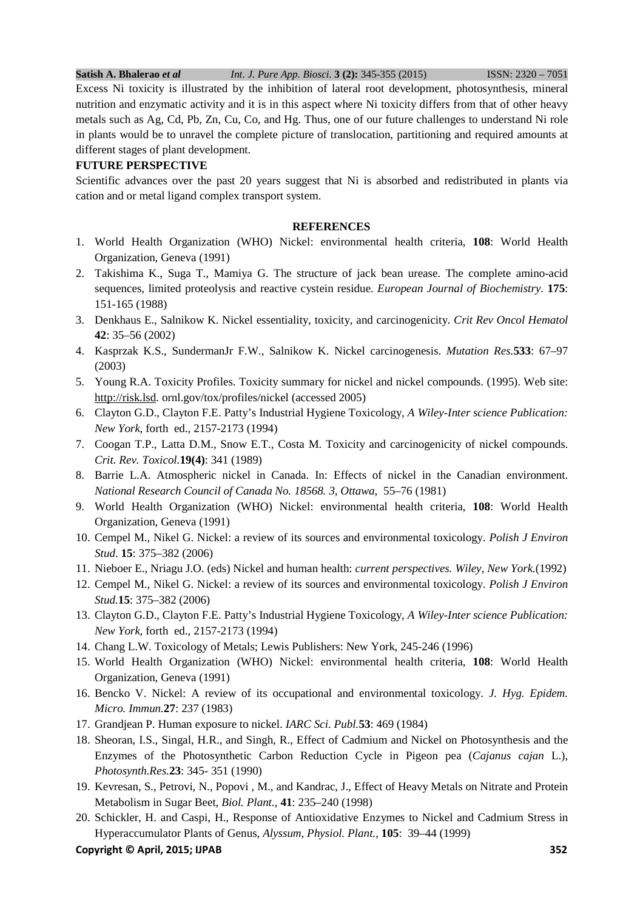Excess Ni toxicity is illustrated by the inhibition of lateral root development, photosynthesis, mineral nutrition and enzymatic activity and it is in this aspect where Ni toxicity differs from that of other heavy metals such as Ag, Cd, Pb, Zn, Cu, Co, and Hg. Thus, one of our future challenges to understand Ni role in plants would be to unravel the complete picture of translocation, partitioning and required amounts at different stages of plant development.

# **FUTURE PERSPECTIVE**

Scientific advances over the past 20 years suggest that Ni is absorbed and redistributed in plants via cation and or metal ligand complex transport system.

# **REFERENCES**

- 1. World Health Organization (WHO) Nickel: environmental health criteria, **108**: World Health Organization, Geneva (1991)
- 2. Takishima K., Suga T., Mamiya G. The structure of jack bean urease. The complete amino-acid sequences, limited proteolysis and reactive cystein residue. *European Journal of Biochemistry*. **175**: 151-165 (1988)
- 3. Denkhaus E., Salnikow K. Nickel essentiality, toxicity, and carcinogenicity. *Crit Rev Oncol Hematol*  **42**: 35–56 (2002)
- 4. Kasprzak K.S., SundermanJr F.W., Salnikow K. Nickel carcinogenesis. *Mutation Res.***533**: 67–97 (2003)
- 5. Young R.A. Toxicity Profiles. Toxicity summary for nickel and nickel compounds. (1995). Web site: http://risk.lsd. ornl.gov/tox/profiles/nickel (accessed 2005)
- 6. Clayton G.D., Clayton F.E. Patty's Industrial Hygiene Toxicology, *A Wiley-Inter science Publication: New York,* forth ed., 2157-2173 (1994)
- 7. Coogan T.P., Latta D.M., Snow E.T., Costa M. Toxicity and carcinogenicity of nickel compounds. *Crit. Rev. Toxicol.***19(4)**: 341 (1989)
- 8. Barrie L.A. Atmospheric nickel in Canada. In: Effects of nickel in the Canadian environment. *National Research Council of Canada No. 18568. 3, Ottawa*, 55–76 (1981)
- 9. World Health Organization (WHO) Nickel: environmental health criteria, **108**: World Health Organization, Geneva (1991)
- 10. Cempel M., Nikel G. Nickel: a review of its sources and environmental toxicology. *Polish J Environ Stud*. **15**: 375–382 (2006)
- 11. Nieboer E., Nriagu J.O. (eds) Nickel and human health: *current perspectives. Wiley, New York.*(1992)
- 12. Cempel M., Nikel G. Nickel: a review of its sources and environmental toxicology. *Polish J Environ Stud.***15**: 375–382 (2006)
- 13. Clayton G.D., Clayton F.E. Patty's Industrial Hygiene Toxicology, *A Wiley-Inter science Publication: New York,* forth ed., 2157-2173 (1994)
- 14. Chang L.W. Toxicology of Metals; Lewis Publishers: New York, 245-246 (1996)
- 15. World Health Organization (WHO) Nickel: environmental health criteria, **108**: World Health Organization, Geneva (1991)
- 16. Bencko V. Nickel: A review of its occupational and environmental toxicology. *J. Hyg. Epidem. Micro. Immun.***27**: 237 (1983)
- 17. Grandjean P. Human exposure to nickel. *IARC Sci. Publ.***53**: 469 (1984)
- 18. Sheoran, I.S., Singal, H.R., and Singh, R., Effect of Cadmium and Nickel on Photosynthesis and the Enzymes of the Photosynthetic Carbon Reduction Cycle in Pigeon pea (*Cajanus cajan* L.), *Photosynth.Res.***23**: 345- 351 (1990)
- 19. Kevresan, S., Petrovi, N., Popovi , M., and Kandrac, J., Effect of Heavy Metals on Nitrate and Protein Metabolism in Sugar Beet, *Biol. Plant.*, **41**: 235–240 (1998)
- 20. Schickler, H. and Caspi, H., Response of Antioxidative Enzymes to Nickel and Cadmium Stress in Hyperaccumulator Plants of Genus, *Alyssum, Physiol. Plant.*, **105**: 39–44 (1999)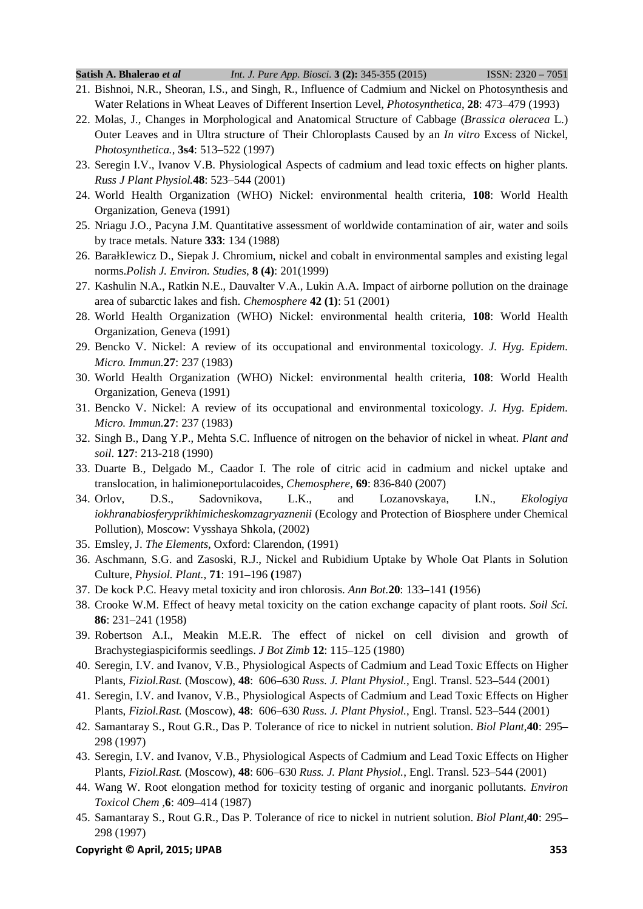- 21. Bishnoi, N.R., Sheoran, I.S., and Singh, R., Influence of Cadmium and Nickel on Photosynthesis and Water Relations in Wheat Leaves of Different Insertion Level, *Photosynthetica*, **28**: 473–479 (1993)
- 22. Molas, J., Changes in Morphological and Anatomical Structure of Cabbage (*Brassica oleracea* L.) Outer Leaves and in Ultra structure of Their Chloroplasts Caused by an *In vitro* Excess of Nickel, *Photosynthetica.*, **3s4**: 513–522 (1997)
- 23. Seregin I.V., Ivanov V.B. Physiological Aspects of cadmium and lead toxic effects on higher plants. *Russ J Plant Physiol.***48**: 523–544 (2001)
- 24. World Health Organization (WHO) Nickel: environmental health criteria, **108**: World Health Organization, Geneva (1991)
- 25. Nriagu J.O., Pacyna J.M. Quantitative assessment of worldwide contamination of air, water and soils by trace metals. Nature **333**: 134 (1988)
- 26. BarałkIewicz D., Siepak J. Chromium, nickel and cobalt in environmental samples and existing legal norms.*Polish J. Environ. Studies*, **8 (4)**: 201(1999)
- 27. Kashulin N.A., Ratkin N.E., Dauvalter V.A., Lukin A.A. Impact of airborne pollution on the drainage area of subarctic lakes and fish. *Chemosphere* **42 (1)**: 51 (2001)
- 28. World Health Organization (WHO) Nickel: environmental health criteria, **108**: World Health Organization, Geneva (1991)
- 29. Bencko V. Nickel: A review of its occupational and environmental toxicology. *J. Hyg. Epidem. Micro. Immun.***27**: 237 (1983)
- 30. World Health Organization (WHO) Nickel: environmental health criteria, **108**: World Health Organization, Geneva (1991)
- 31. Bencko V. Nickel: A review of its occupational and environmental toxicology. *J. Hyg. Epidem. Micro. Immun.***27**: 237 (1983)
- 32. Singh B., Dang Y.P., Mehta S.C. Influence of nitrogen on the behavior of nickel in wheat. *Plant and soil*. **127**: 213-218 (1990)
- 33. Duarte B., Delgado M., Caador I. The role of citric acid in cadmium and nickel uptake and translocation, in halimioneportulacoides, *Chemosphere,* **69**: 836-840 (2007)
- 34. Orlov, D.S., Sadovnikova, L.K., and Lozanovskaya, I.N., *Ekologiya iokhranabiosferyprikhimicheskomzagryaznenii* (Ecology and Protection of Biosphere under Chemical Pollution), Moscow: Vysshaya Shkola, (2002)
- 35. Emsley, J. *The Elements*, Oxford: Clarendon, (1991)
- 36. Aschmann, S.G. and Zasoski, R.J., Nickel and Rubidium Uptake by Whole Oat Plants in Solution Culture, *Physiol. Plant.*, **71**: 191–196 **(**1987)
- 37. De kock P.C. Heavy metal toxicity and iron chlorosis. *Ann Bot.***20**: 133–141 **(**1956)
- 38. Crooke W.M. Effect of heavy metal toxicity on the cation exchange capacity of plant roots. *Soil Sci.*  **86**: 231–241 (1958)
- 39. Robertson A.I., Meakin M.E.R. The effect of nickel on cell division and growth of Brachystegiaspiciformis seedlings. *J Bot Zimb* **12**: 115–125 (1980)
- 40. Seregin, I.V. and Ivanov, V.B., Physiological Aspects of Cadmium and Lead Toxic Effects on Higher Plants, *Fiziol.Rast.* (Moscow), **48**: 606–630 *Russ. J. Plant Physiol.*, Engl. Transl. 523–544 (2001)
- 41. Seregin, I.V. and Ivanov, V.B., Physiological Aspects of Cadmium and Lead Toxic Effects on Higher Plants, *Fiziol.Rast.* (Moscow), **48**: 606–630 *Russ. J. Plant Physiol.*, Engl. Transl. 523–544 (2001)
- 42. Samantaray S., Rout G.R., Das P. Tolerance of rice to nickel in nutrient solution. *Biol Plant,***40**: 295– 298 (1997)
- 43. Seregin, I.V. and Ivanov, V.B., Physiological Aspects of Cadmium and Lead Toxic Effects on Higher Plants, *Fiziol.Rast.* (Moscow), **48**: 606–630 *Russ. J. Plant Physiol.*, Engl. Transl. 523–544 (2001)
- 44. Wang W. Root elongation method for toxicity testing of organic and inorganic pollutants. *Environ Toxicol Chem ,***6**: 409–414 (1987)
- 45. Samantaray S., Rout G.R., Das P. Tolerance of rice to nickel in nutrient solution. *Biol Plant,***40**: 295– 298 (1997)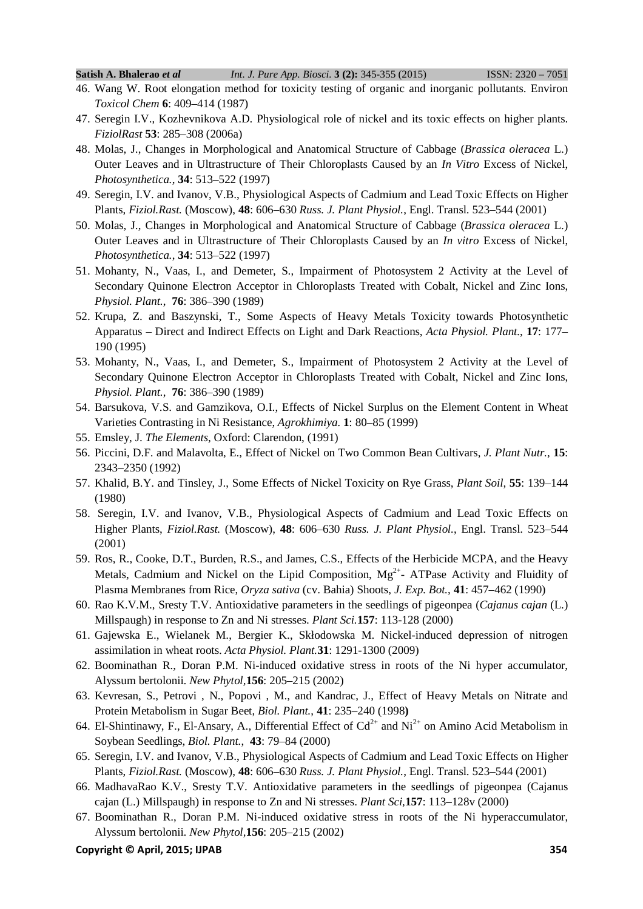- 46. Wang W. Root elongation method for toxicity testing of organic and inorganic pollutants. Environ *Toxicol Chem* **6**: 409–414 (1987)
- 47. Seregin I.V., Kozhevnikova A.D. Physiological role of nickel and its toxic effects on higher plants. *FiziolRast* **53**: 285–308 (2006a)
- 48. Molas, J., Changes in Morphological and Anatomical Structure of Cabbage (*Brassica oleracea* L.) Outer Leaves and in Ultrastructure of Their Chloroplasts Caused by an *In Vitro* Excess of Nickel, *Photosynthetica.*, **34**: 513–522 (1997)
- 49. Seregin, I.V. and Ivanov, V.B., Physiological Aspects of Cadmium and Lead Toxic Effects on Higher Plants, *Fiziol.Rast.* (Moscow), **48**: 606–630 *Russ. J. Plant Physiol.*, Engl. Transl. 523–544 (2001)
- 50. Molas, J., Changes in Morphological and Anatomical Structure of Cabbage (*Brassica oleracea* L.) Outer Leaves and in Ultrastructure of Their Chloroplasts Caused by an *In vitro* Excess of Nickel, *Photosynthetica.*, **34**: 513–522 (1997)
- 51. Mohanty, N., Vaas, I., and Demeter, S., Impairment of Photosystem 2 Activity at the Level of Secondary Quinone Electron Acceptor in Chloroplasts Treated with Cobalt, Nickel and Zinc Ions, *Physiol. Plant.*, **76**: 386–390 (1989)
- 52. Krupa, Z. and Baszynski, T., Some Aspects of Heavy Metals Toxicity towards Photosynthetic Apparatus – Direct and Indirect Effects on Light and Dark Reactions, *Acta Physiol. Plant.*, **17**: 177– 190 (1995)
- 53. Mohanty, N., Vaas, I., and Demeter, S., Impairment of Photosystem 2 Activity at the Level of Secondary Quinone Electron Acceptor in Chloroplasts Treated with Cobalt, Nickel and Zinc Ions, *Physiol. Plant.*, **76**: 386–390 (1989)
- 54. Barsukova, V.S. and Gamzikova, O.I., Effects of Nickel Surplus on the Element Content in Wheat Varieties Contrasting in Ni Resistance, *Agrokhimiya*. **1**: 80–85 (1999)
- 55. Emsley, J. *The Elements*, Oxford: Clarendon, (1991)
- 56. Piccini, D.F. and Malavolta, E., Effect of Nickel on Two Common Bean Cultivars, *J. Plant Nutr.*, **15**: 2343–2350 (1992)
- 57. Khalid, B.Y. and Tinsley, J., Some Effects of Nickel Toxicity on Rye Grass, *Plant Soil*, **55**: 139–144 (1980)
- 58. Seregin, I.V. and Ivanov, V.B., Physiological Aspects of Cadmium and Lead Toxic Effects on Higher Plants, *Fiziol.Rast.* (Moscow), **48**: 606–630 *Russ. J. Plant Physiol.*, Engl. Transl. 523–544 (2001)
- 59. Ros, R., Cooke, D.T., Burden, R.S., and James, C.S., Effects of the Herbicide MCPA, and the Heavy Metals, Cadmium and Nickel on the Lipid Composition,  $Mg^{2+}$ - ATPase Activity and Fluidity of Plasma Membranes from Rice, *Oryza sativa* (cv. Bahia) Shoots, *J. Exp. Bot.*, **41**: 457–462 (1990)
- 60. Rao K.V.M., Sresty T.V. Antioxidative parameters in the seedlings of pigeonpea (*Cajanus cajan* (L.) Millspaugh) in response to Zn and Ni stresses. *Plant Sci.***157**: 113-128 (2000)
- 61. Gajewska E., Wielanek M., Bergier K., Skłodowska M. Nickel-induced depression of nitrogen assimilation in wheat roots. *Acta Physiol. Plant.***31**: 1291-1300 (2009)
- 62. Boominathan R., Doran P.M. Ni-induced oxidative stress in roots of the Ni hyper accumulator, Alyssum bertolonii. *New Phytol,***156**: 205–215 (2002)
- 63. Kevresan, S., Petrovi , N., Popovi , M., and Kandrac, J., Effect of Heavy Metals on Nitrate and Protein Metabolism in Sugar Beet, *Biol. Plant.*, **41**: 235–240 (1998**)**
- 64. El-Shintinawy, F., El-Ansary, A., Differential Effect of  $Cd^{2+}$  and Ni<sup>2+</sup> on Amino Acid Metabolism in Soybean Seedlings, *Biol. Plant.*, **43**: 79–84 (2000)
- 65. Seregin, I.V. and Ivanov, V.B., Physiological Aspects of Cadmium and Lead Toxic Effects on Higher Plants, *Fiziol.Rast.* (Moscow), **48**: 606–630 *Russ. J. Plant Physiol.*, Engl. Transl. 523–544 (2001)
- 66. MadhavaRao K.V., Sresty T.V. Antioxidative parameters in the seedlings of pigeonpea (Cajanus cajan (L.) Millspaugh) in response to Zn and Ni stresses. *Plant Sci,***157**: 113–128v (2000)
- 67. Boominathan R., Doran P.M. Ni-induced oxidative stress in roots of the Ni hyperaccumulator, Alyssum bertolonii. *New Phytol,***156**: 205–215 (2002)